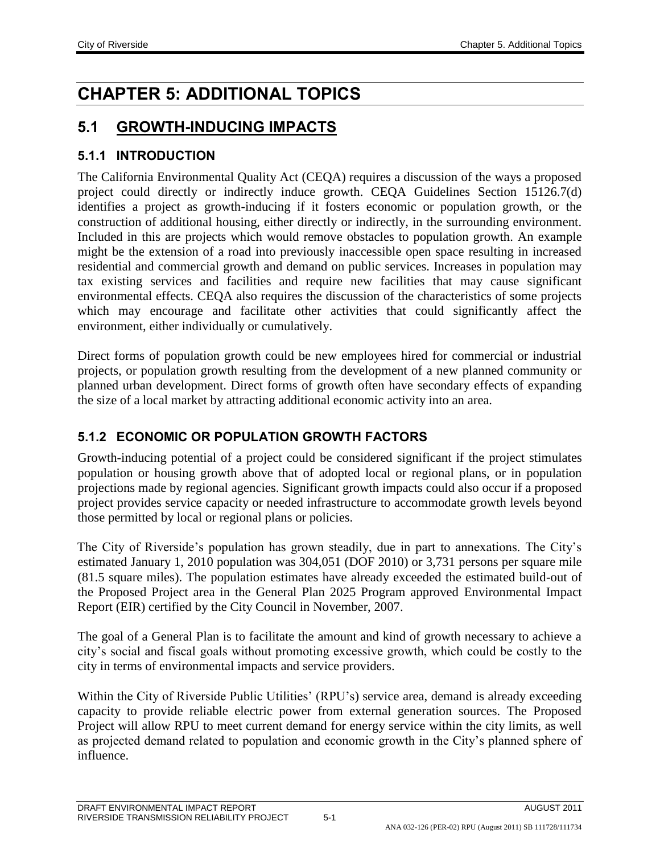# **CHAPTER 5: ADDITIONAL TOPICS**

## **5.1 GROWTH-INDUCING IMPACTS**

#### **5.1.1 INTRODUCTION**

The California Environmental Quality Act (CEQA) requires a discussion of the ways a proposed project could directly or indirectly induce growth. CEQA Guidelines Section 15126.7(d) identifies a project as growth-inducing if it fosters economic or population growth, or the construction of additional housing, either directly or indirectly, in the surrounding environment. Included in this are projects which would remove obstacles to population growth. An example might be the extension of a road into previously inaccessible open space resulting in increased residential and commercial growth and demand on public services. Increases in population may tax existing services and facilities and require new facilities that may cause significant environmental effects. CEQA also requires the discussion of the characteristics of some projects which may encourage and facilitate other activities that could significantly affect the environment, either individually or cumulatively.

Direct forms of population growth could be new employees hired for commercial or industrial projects, or population growth resulting from the development of a new planned community or planned urban development. Direct forms of growth often have secondary effects of expanding the size of a local market by attracting additional economic activity into an area.

#### **5.1.2 ECONOMIC OR POPULATION GROWTH FACTORS**

Growth-inducing potential of a project could be considered significant if the project stimulates population or housing growth above that of adopted local or regional plans, or in population projections made by regional agencies. Significant growth impacts could also occur if a proposed project provides service capacity or needed infrastructure to accommodate growth levels beyond those permitted by local or regional plans or policies.

The City of Riverside's population has grown steadily, due in part to annexations. The City's estimated January 1, 2010 population was 304,051 (DOF 2010) or 3,731 persons per square mile (81.5 square miles). The population estimates have already exceeded the estimated build-out of the Proposed Project area in the General Plan 2025 Program approved Environmental Impact Report (EIR) certified by the City Council in November, 2007.

The goal of a General Plan is to facilitate the amount and kind of growth necessary to achieve a city's social and fiscal goals without promoting excessive growth, which could be costly to the city in terms of environmental impacts and service providers.

Within the City of Riverside Public Utilities' (RPU's) service area, demand is already exceeding capacity to provide reliable electric power from external generation sources. The Proposed Project will allow RPU to meet current demand for energy service within the city limits, as well as projected demand related to population and economic growth in the City's planned sphere of influence.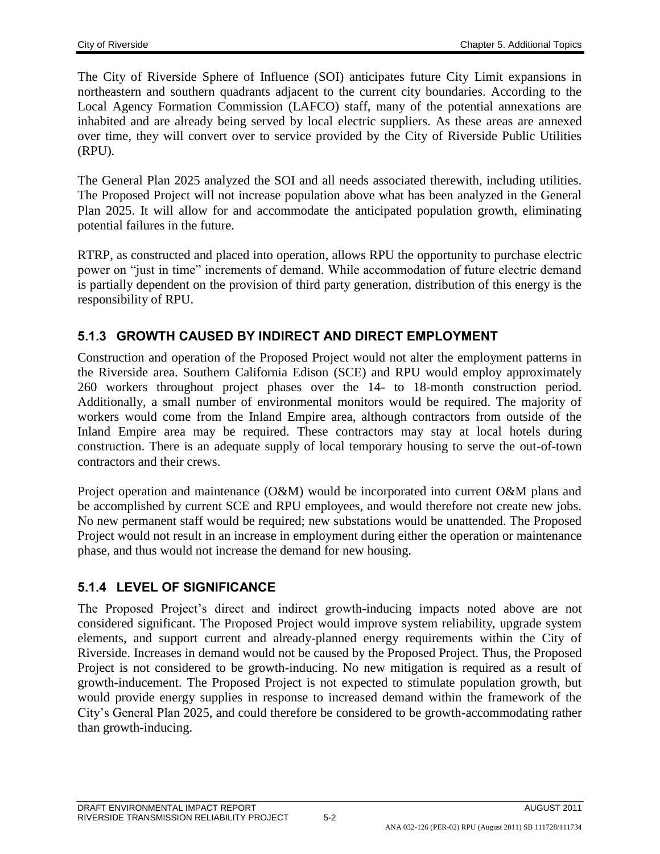The City of Riverside Sphere of Influence (SOI) anticipates future City Limit expansions in northeastern and southern quadrants adjacent to the current city boundaries. According to the Local Agency Formation Commission (LAFCO) staff, many of the potential annexations are inhabited and are already being served by local electric suppliers. As these areas are annexed over time, they will convert over to service provided by the City of Riverside Public Utilities (RPU).

The General Plan 2025 analyzed the SOI and all needs associated therewith, including utilities. The Proposed Project will not increase population above what has been analyzed in the General Plan 2025. It will allow for and accommodate the anticipated population growth, eliminating potential failures in the future.

RTRP, as constructed and placed into operation, allows RPU the opportunity to purchase electric power on "just in time" increments of demand. While accommodation of future electric demand is partially dependent on the provision of third party generation, distribution of this energy is the responsibility of RPU.

#### **5.1.3 GROWTH CAUSED BY INDIRECT AND DIRECT EMPLOYMENT**

Construction and operation of the Proposed Project would not alter the employment patterns in the Riverside area. Southern California Edison (SCE) and RPU would employ approximately 260 workers throughout project phases over the 14- to 18-month construction period. Additionally, a small number of environmental monitors would be required. The majority of workers would come from the Inland Empire area, although contractors from outside of the Inland Empire area may be required. These contractors may stay at local hotels during construction. There is an adequate supply of local temporary housing to serve the out-of-town contractors and their crews.

Project operation and maintenance (O&M) would be incorporated into current O&M plans and be accomplished by current SCE and RPU employees, and would therefore not create new jobs. No new permanent staff would be required; new substations would be unattended. The Proposed Project would not result in an increase in employment during either the operation or maintenance phase, and thus would not increase the demand for new housing.

## **5.1.4 LEVEL OF SIGNIFICANCE**

The Proposed Project's direct and indirect growth-inducing impacts noted above are not considered significant. The Proposed Project would improve system reliability, upgrade system elements, and support current and already-planned energy requirements within the City of Riverside. Increases in demand would not be caused by the Proposed Project. Thus, the Proposed Project is not considered to be growth-inducing. No new mitigation is required as a result of growth-inducement. The Proposed Project is not expected to stimulate population growth, but would provide energy supplies in response to increased demand within the framework of the City's General Plan 2025, and could therefore be considered to be growth-accommodating rather than growth-inducing.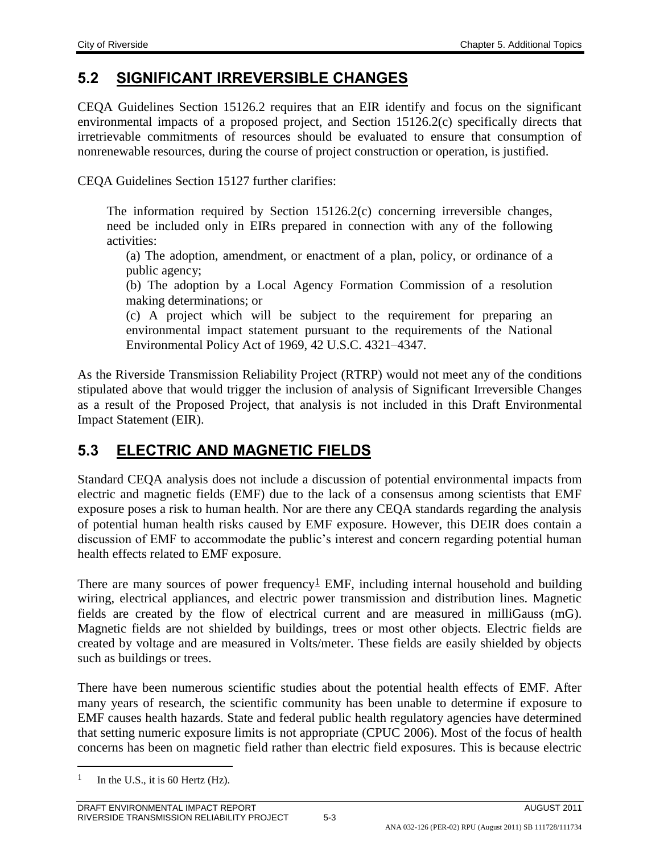# **5.2 SIGNIFICANT IRREVERSIBLE CHANGES**

CEQA Guidelines Section 15126.2 requires that an EIR identify and focus on the significant environmental impacts of a proposed project, and Section 15126.2(c) specifically directs that irretrievable commitments of resources should be evaluated to ensure that consumption of nonrenewable resources, during the course of project construction or operation, is justified.

CEQA Guidelines Section 15127 further clarifies:

The information required by Section 15126.2(c) concerning irreversible changes, need be included only in EIRs prepared in connection with any of the following activities:

(a) The adoption, amendment, or enactment of a plan, policy, or ordinance of a public agency;

(b) The adoption by a Local Agency Formation Commission of a resolution making determinations; or

(c) A project which will be subject to the requirement for preparing an environmental impact statement pursuant to the requirements of the National Environmental Policy Act of 1969, 42 U.S.C. 4321–4347.

As the Riverside Transmission Reliability Project (RTRP) would not meet any of the conditions stipulated above that would trigger the inclusion of analysis of Significant Irreversible Changes as a result of the Proposed Project, that analysis is not included in this Draft Environmental Impact Statement (EIR).

## **5.3 ELECTRIC AND MAGNETIC FIELDS**

Standard CEQA analysis does not include a discussion of potential environmental impacts from electric and magnetic fields (EMF) due to the lack of a consensus among scientists that EMF exposure poses a risk to human health. Nor are there any CEQA standards regarding the analysis of potential human health risks caused by EMF exposure. However, this DEIR does contain a discussion of EMF to accommodate the public's interest and concern regarding potential human health effects related to EMF exposure.

There are many sources of power frequency<sup> $\perp$ </sup> EMF, including internal household and building wiring, electrical appliances, and electric power transmission and distribution lines. Magnetic fields are created by the flow of electrical current and are measured in milliGauss (mG). Magnetic fields are not shielded by buildings, trees or most other objects. Electric fields are created by voltage and are measured in Volts/meter. These fields are easily shielded by objects such as buildings or trees.

There have been numerous scientific studies about the potential health effects of EMF. After many years of research, the scientific community has been unable to determine if exposure to EMF causes health hazards. State and federal public health regulatory agencies have determined that setting numeric exposure limits is not appropriate (CPUC 2006). Most of the focus of health concerns has been on magnetic field rather than electric field exposures. This is because electric

 $\overline{a}$ 

<sup>&</sup>lt;sup>1</sup> In the U.S., it is 60 Hertz (Hz).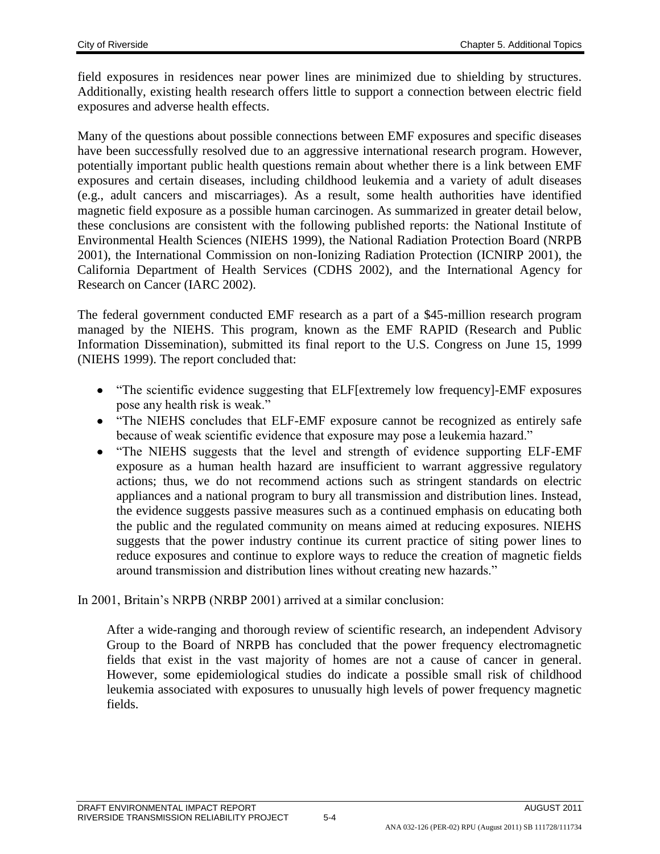field exposures in residences near power lines are minimized due to shielding by structures. Additionally, existing health research offers little to support a connection between electric field exposures and adverse health effects.

Many of the questions about possible connections between EMF exposures and specific diseases have been successfully resolved due to an aggressive international research program. However, potentially important public health questions remain about whether there is a link between EMF exposures and certain diseases, including childhood leukemia and a variety of adult diseases (e.g., adult cancers and miscarriages). As a result, some health authorities have identified magnetic field exposure as a possible human carcinogen. As summarized in greater detail below, these conclusions are consistent with the following published reports: the National Institute of Environmental Health Sciences (NIEHS 1999), the National Radiation Protection Board (NRPB 2001), the International Commission on non-Ionizing Radiation Protection (ICNIRP 2001), the California Department of Health Services (CDHS 2002), and the International Agency for Research on Cancer (IARC 2002).

The federal government conducted EMF research as a part of a \$45-million research program managed by the NIEHS. This program, known as the EMF RAPID (Research and Public Information Dissemination), submitted its final report to the U.S. Congress on June 15, 1999 (NIEHS 1999). The report concluded that:

- "The scientific evidence suggesting that ELF[extremely low frequency]-EMF exposures pose any health risk is weak."
- "The NIEHS concludes that ELF-EMF exposure cannot be recognized as entirely safe because of weak scientific evidence that exposure may pose a leukemia hazard."
- "The NIEHS suggests that the level and strength of evidence supporting ELF-EMF exposure as a human health hazard are insufficient to warrant aggressive regulatory actions; thus, we do not recommend actions such as stringent standards on electric appliances and a national program to bury all transmission and distribution lines. Instead, the evidence suggests passive measures such as a continued emphasis on educating both the public and the regulated community on means aimed at reducing exposures. NIEHS suggests that the power industry continue its current practice of siting power lines to reduce exposures and continue to explore ways to reduce the creation of magnetic fields around transmission and distribution lines without creating new hazards."

In 2001, Britain's NRPB (NRBP 2001) arrived at a similar conclusion:

After a wide-ranging and thorough review of scientific research, an independent Advisory Group to the Board of NRPB has concluded that the power frequency electromagnetic fields that exist in the vast majority of homes are not a cause of cancer in general. However, some epidemiological studies do indicate a possible small risk of childhood leukemia associated with exposures to unusually high levels of power frequency magnetic fields.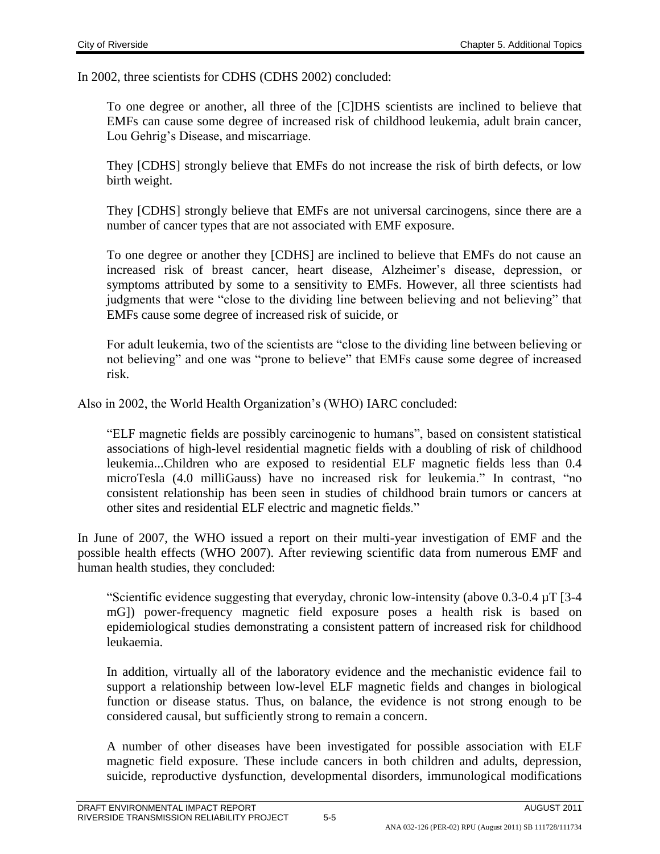In 2002, three scientists for CDHS (CDHS 2002) concluded:

To one degree or another, all three of the [C]DHS scientists are inclined to believe that EMFs can cause some degree of increased risk of childhood leukemia, adult brain cancer, Lou Gehrig's Disease, and miscarriage.

They [CDHS] strongly believe that EMFs do not increase the risk of birth defects, or low birth weight.

They [CDHS] strongly believe that EMFs are not universal carcinogens, since there are a number of cancer types that are not associated with EMF exposure.

To one degree or another they [CDHS] are inclined to believe that EMFs do not cause an increased risk of breast cancer, heart disease, Alzheimer's disease, depression, or symptoms attributed by some to a sensitivity to EMFs. However, all three scientists had judgments that were "close to the dividing line between believing and not believing" that EMFs cause some degree of increased risk of suicide, or

For adult leukemia, two of the scientists are "close to the dividing line between believing or not believing" and one was "prone to believe" that EMFs cause some degree of increased risk.

Also in 2002, the World Health Organization's (WHO) IARC concluded:

"ELF magnetic fields are possibly carcinogenic to humans", based on consistent statistical associations of high-level residential magnetic fields with a doubling of risk of childhood leukemia...Children who are exposed to residential ELF magnetic fields less than 0.4 microTesla (4.0 milliGauss) have no increased risk for leukemia." In contrast, "no consistent relationship has been seen in studies of childhood brain tumors or cancers at other sites and residential ELF electric and magnetic fields."

In June of 2007, the WHO issued a report on their multi-year investigation of EMF and the possible health effects (WHO 2007). After reviewing scientific data from numerous EMF and human health studies, they concluded:

"Scientific evidence suggesting that everyday, chronic low-intensity (above 0.3-0.4 µT [3-4 mG]) power-frequency magnetic field exposure poses a health risk is based on epidemiological studies demonstrating a consistent pattern of increased risk for childhood leukaemia.

In addition, virtually all of the laboratory evidence and the mechanistic evidence fail to support a relationship between low-level ELF magnetic fields and changes in biological function or disease status. Thus, on balance, the evidence is not strong enough to be considered causal, but sufficiently strong to remain a concern.

A number of other diseases have been investigated for possible association with ELF magnetic field exposure. These include cancers in both children and adults, depression, suicide, reproductive dysfunction, developmental disorders, immunological modifications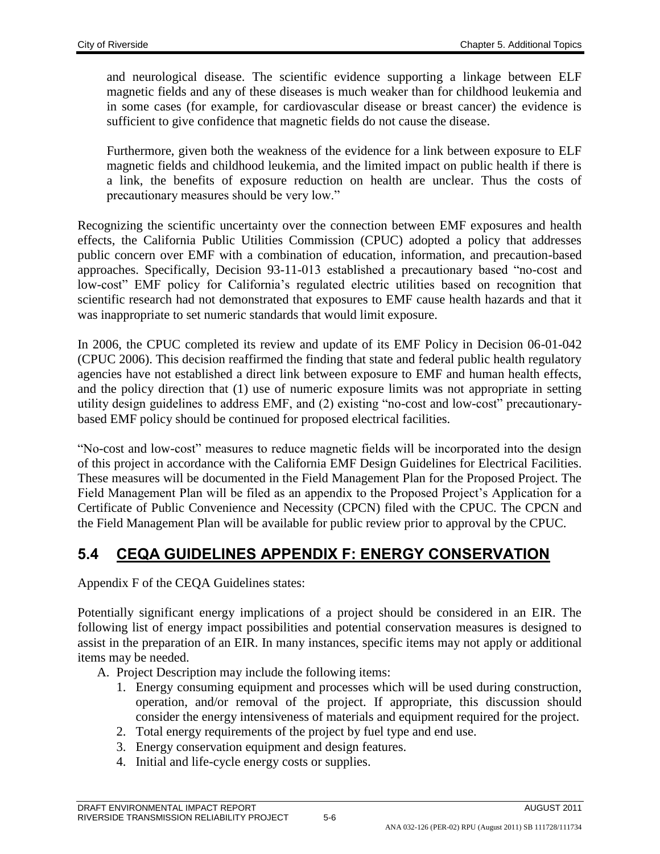and neurological disease. The scientific evidence supporting a linkage between ELF magnetic fields and any of these diseases is much weaker than for childhood leukemia and in some cases (for example, for cardiovascular disease or breast cancer) the evidence is sufficient to give confidence that magnetic fields do not cause the disease.

Furthermore, given both the weakness of the evidence for a link between exposure to ELF magnetic fields and childhood leukemia, and the limited impact on public health if there is a link, the benefits of exposure reduction on health are unclear. Thus the costs of precautionary measures should be very low."

Recognizing the scientific uncertainty over the connection between EMF exposures and health effects, the California Public Utilities Commission (CPUC) adopted a policy that addresses public concern over EMF with a combination of education, information, and precaution-based approaches. Specifically, Decision 93-11-013 established a precautionary based "no-cost and low-cost" EMF policy for California's regulated electric utilities based on recognition that scientific research had not demonstrated that exposures to EMF cause health hazards and that it was inappropriate to set numeric standards that would limit exposure.

In 2006, the CPUC completed its review and update of its EMF Policy in Decision 06-01-042 (CPUC 2006). This decision reaffirmed the finding that state and federal public health regulatory agencies have not established a direct link between exposure to EMF and human health effects, and the policy direction that (1) use of numeric exposure limits was not appropriate in setting utility design guidelines to address EMF, and (2) existing "no-cost and low-cost" precautionarybased EMF policy should be continued for proposed electrical facilities.

"No-cost and low-cost" measures to reduce magnetic fields will be incorporated into the design of this project in accordance with the California EMF Design Guidelines for Electrical Facilities. These measures will be documented in the Field Management Plan for the Proposed Project. The Field Management Plan will be filed as an appendix to the Proposed Project's Application for a Certificate of Public Convenience and Necessity (CPCN) filed with the CPUC. The CPCN and the Field Management Plan will be available for public review prior to approval by the CPUC.

## **5.4 CEQA GUIDELINES APPENDIX F: ENERGY CONSERVATION**

Appendix F of the CEQA Guidelines states:

Potentially significant energy implications of a project should be considered in an EIR. The following list of energy impact possibilities and potential conservation measures is designed to assist in the preparation of an EIR. In many instances, specific items may not apply or additional items may be needed.

A. Project Description may include the following items:

- 1. Energy consuming equipment and processes which will be used during construction, operation, and/or removal of the project. If appropriate, this discussion should consider the energy intensiveness of materials and equipment required for the project.
- 2. Total energy requirements of the project by fuel type and end use.
- 3. Energy conservation equipment and design features.
- 4. Initial and life-cycle energy costs or supplies.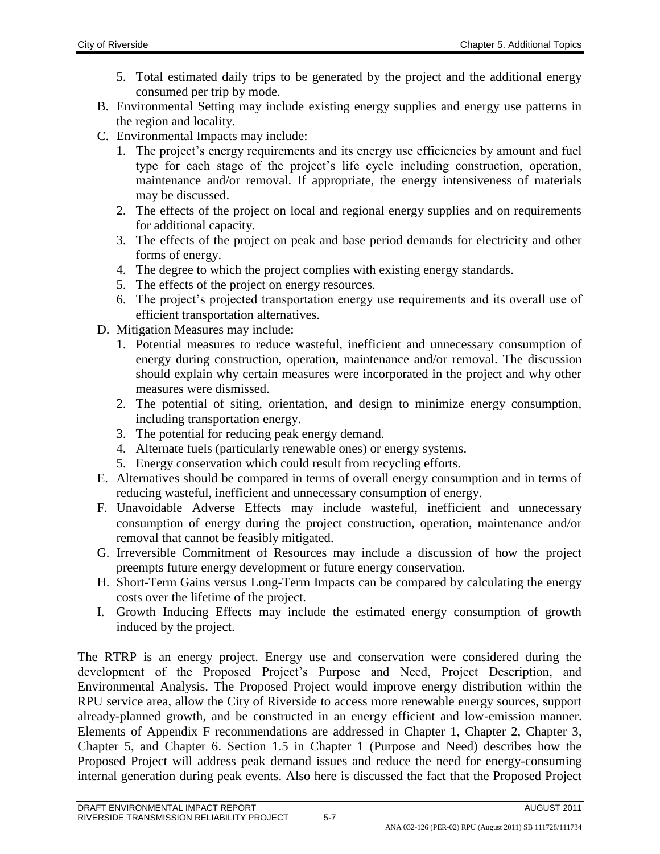- 5. Total estimated daily trips to be generated by the project and the additional energy consumed per trip by mode.
- B. Environmental Setting may include existing energy supplies and energy use patterns in the region and locality.
- C. Environmental Impacts may include:
	- 1. The project's energy requirements and its energy use efficiencies by amount and fuel type for each stage of the project's life cycle including construction, operation, maintenance and/or removal. If appropriate, the energy intensiveness of materials may be discussed.
	- 2. The effects of the project on local and regional energy supplies and on requirements for additional capacity.
	- 3. The effects of the project on peak and base period demands for electricity and other forms of energy.
	- 4. The degree to which the project complies with existing energy standards.
	- 5. The effects of the project on energy resources.
	- 6. The project's projected transportation energy use requirements and its overall use of efficient transportation alternatives.
- D. Mitigation Measures may include:
	- 1. Potential measures to reduce wasteful, inefficient and unnecessary consumption of energy during construction, operation, maintenance and/or removal. The discussion should explain why certain measures were incorporated in the project and why other measures were dismissed.
	- 2. The potential of siting, orientation, and design to minimize energy consumption, including transportation energy.
	- 3. The potential for reducing peak energy demand.
	- 4. Alternate fuels (particularly renewable ones) or energy systems.
	- 5. Energy conservation which could result from recycling efforts.
- E. Alternatives should be compared in terms of overall energy consumption and in terms of reducing wasteful, inefficient and unnecessary consumption of energy.
- F. Unavoidable Adverse Effects may include wasteful, inefficient and unnecessary consumption of energy during the project construction, operation, maintenance and/or removal that cannot be feasibly mitigated.
- G. Irreversible Commitment of Resources may include a discussion of how the project preempts future energy development or future energy conservation.
- H. Short-Term Gains versus Long-Term Impacts can be compared by calculating the energy costs over the lifetime of the project.
- I. Growth Inducing Effects may include the estimated energy consumption of growth induced by the project.

The RTRP is an energy project. Energy use and conservation were considered during the development of the Proposed Project's Purpose and Need, Project Description, and Environmental Analysis. The Proposed Project would improve energy distribution within the RPU service area, allow the City of Riverside to access more renewable energy sources, support already-planned growth, and be constructed in an energy efficient and low-emission manner. Elements of Appendix F recommendations are addressed in Chapter 1, Chapter 2, Chapter 3, Chapter 5, and Chapter 6. Section 1.5 in Chapter 1 (Purpose and Need) describes how the Proposed Project will address peak demand issues and reduce the need for energy-consuming internal generation during peak events. Also here is discussed the fact that the Proposed Project